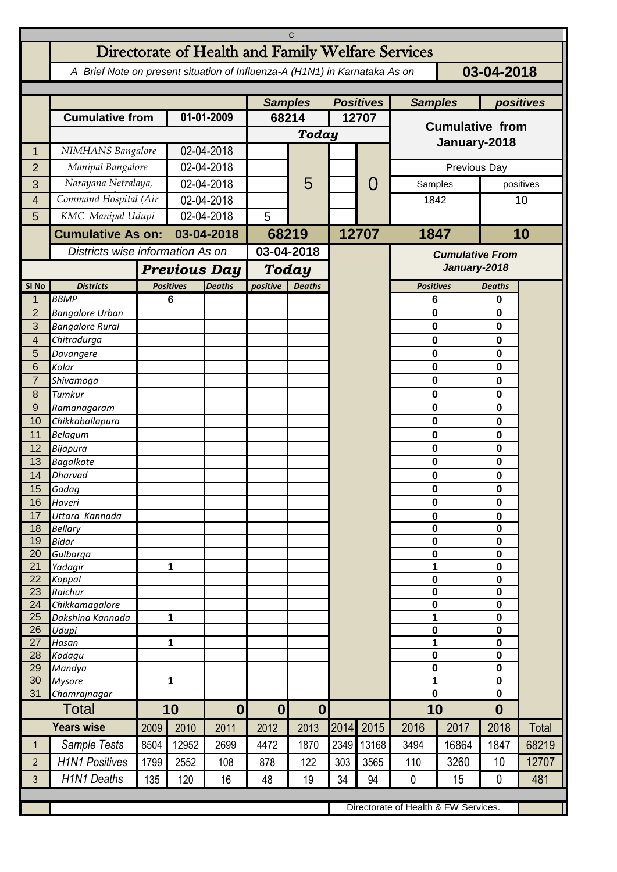| C                   |                                                                                          |                |                                  |                          |                        |                |       |           |                                      |              |                        |           |  |
|---------------------|------------------------------------------------------------------------------------------|----------------|----------------------------------|--------------------------|------------------------|----------------|-------|-----------|--------------------------------------|--------------|------------------------|-----------|--|
|                     | Directorate of Health and Family Welfare Services                                        |                |                                  |                          |                        |                |       |           |                                      |              |                        |           |  |
|                     | A Brief Note on present situation of Influenza-A (H1N1) in Karnataka As on<br>03-04-2018 |                |                                  |                          |                        |                |       |           |                                      |              |                        |           |  |
|                     |                                                                                          | <b>Samples</b> |                                  | <b>Positives</b>         |                        | <b>Samples</b> |       | positives |                                      |              |                        |           |  |
|                     | <b>Cumulative from</b>                                                                   |                | 01-01-2009                       |                          | 68214                  |                | 12707 |           | <b>Cumulative from</b>               |              |                        |           |  |
|                     |                                                                                          |                |                                  |                          | <b>Today</b>           |                |       |           |                                      |              |                        |           |  |
| 1                   | NIMHANS Bangalore                                                                        |                | 02-04-2018                       |                          |                        |                |       |           | January-2018                         |              |                        |           |  |
| $\overline{2}$      | Manipal Bangalore                                                                        |                | 02-04-2018                       |                          |                        |                |       |           | Previous Day                         |              |                        |           |  |
| 3                   | Narayana Netralaya,                                                                      |                |                                  | 02-04-2018               |                        | 5              |       | O         |                                      | Samples      |                        | positives |  |
| 4                   | Command Hospital (Air                                                                    |                | 02-04-2018                       |                          |                        |                |       |           | 1842                                 |              | 10                     |           |  |
| 5                   | KMC Manipal Udupi                                                                        |                |                                  | 02-04-2018               |                        |                |       |           |                                      |              |                        |           |  |
|                     | <b>Cumulative As on:</b>                                                                 |                | 03-04-2018                       |                          |                        | 68219          |       | 12707     | 1847                                 |              | 10                     |           |  |
|                     |                                                                                          |                | Districts wise information As on |                          |                        | 03-04-2018     |       |           |                                      |              | <b>Cumulative From</b> |           |  |
|                     |                                                                                          |                | <b>Previous Day</b>              |                          |                        | Today          |       |           |                                      | January-2018 |                        |           |  |
| SI <sub>No</sub>    | <b>Districts</b>                                                                         |                | <b>Positives</b>                 | <b>Deaths</b>            | positive               | <b>Deaths</b>  |       |           | <b>Positives</b>                     |              | <b>Deaths</b>          |           |  |
| 1<br>$\overline{2}$ | <b>BBMP</b><br><b>Bangalore Urban</b>                                                    |                | 6                                |                          |                        |                |       |           | $6\phantom{1}$                       |              | 0<br>0                 |           |  |
| 3                   | <b>Bangalore Rural</b>                                                                   |                |                                  |                          |                        |                |       |           | 0<br>0                               |              | 0                      |           |  |
| 4                   | Chitradurga                                                                              |                |                                  |                          |                        |                |       |           | 0                                    |              | 0                      |           |  |
| 5                   | Davangere                                                                                |                |                                  |                          |                        |                |       |           | 0                                    |              | 0                      |           |  |
| 6                   | Kolar                                                                                    |                |                                  |                          |                        |                |       |           | $\mathbf 0$                          |              | 0                      |           |  |
| $\overline{7}$<br>8 | Shivamoga<br>Tumkur                                                                      |                |                                  |                          |                        |                |       |           | 0<br>0                               |              | 0<br>0                 |           |  |
| $\overline{9}$      | Ramanagaram                                                                              |                |                                  |                          |                        |                |       |           | 0                                    |              | 0                      |           |  |
| 10                  | Chikkaballapura                                                                          |                |                                  |                          |                        |                |       |           | 0                                    |              | 0                      |           |  |
| 11                  | Belagum                                                                                  |                |                                  |                          |                        |                |       |           | $\pmb{0}$                            |              | 0                      |           |  |
| 12                  | Bijapura                                                                                 |                |                                  |                          |                        |                |       |           | $\mathbf 0$                          |              | 0                      |           |  |
| 13                  | <b>Bagalkote</b>                                                                         |                |                                  |                          |                        |                |       |           | 0                                    |              | 0                      |           |  |
| 14<br>15            | <b>Dharvad</b>                                                                           |                |                                  |                          |                        |                |       |           | 0<br>$\pmb{0}$                       |              | 0                      |           |  |
| 16                  | Gadag<br>Haveri                                                                          |                |                                  |                          |                        |                |       |           | 0                                    |              | 0<br>0                 |           |  |
| 17                  | Uttara Kannada                                                                           |                |                                  |                          |                        |                |       |           | $\mathbf 0$                          |              |                        | 0         |  |
| 18                  | <b>Bellary</b>                                                                           |                |                                  |                          |                        |                |       |           | $\pmb{0}$                            |              | 0                      |           |  |
| 19                  | <b>Bidar</b>                                                                             |                |                                  |                          |                        |                |       |           | $\pmb{0}$                            |              | $\mathbf 0$            |           |  |
| 20<br>21            | Gulbarga<br>Yadagir                                                                      |                | 1                                |                          |                        |                |       |           | $\pmb{0}$<br>1                       |              | $\mathbf 0$<br>0       |           |  |
| 22                  | Koppal                                                                                   |                |                                  |                          |                        |                |       |           | $\pmb{0}$                            |              | $\mathbf 0$            |           |  |
| 23                  | Raichur                                                                                  |                |                                  |                          |                        |                |       |           | $\pmb{0}$                            |              | $\mathbf 0$            |           |  |
| 24                  | Chikkamagalore                                                                           |                |                                  |                          |                        |                |       |           | $\pmb{0}$                            |              | $\mathbf 0$            |           |  |
| 25                  | Dakshina Kannada                                                                         | 1              |                                  |                          |                        |                |       |           | 1<br>$\mathbf 0$                     |              | $\pmb{0}$              |           |  |
| 26<br>27            | Udupi<br>Hasan                                                                           | 1              |                                  |                          |                        |                |       |           | 1                                    |              | 0<br>0                 |           |  |
| 28                  | Kodagu                                                                                   |                |                                  |                          |                        |                |       |           | 0                                    |              | 0                      |           |  |
| 29                  | Mandya                                                                                   |                |                                  |                          |                        |                |       |           | $\bf{0}$                             |              | 0                      |           |  |
| 30                  | <b>Mysore</b>                                                                            | 1              |                                  |                          |                        |                |       |           | 1<br>0                               |              | 0<br>$\mathbf 0$       |           |  |
| 31                  | Chamrajnagar<br><b>Total</b>                                                             |                | 10                               |                          | 0 <br>$\boldsymbol{0}$ |                |       |           | 10                                   |              | $\boldsymbol{0}$       |           |  |
|                     | <b>Years wise</b>                                                                        | 2009           | 2010                             | $\boldsymbol{0}$<br>2011 | 2012                   | 2013           |       | 2014 2015 | 2016                                 | 2017         | 2018                   | Total     |  |
| $\mathbf{1}$        | Sample Tests                                                                             | 8504           | 12952                            | 2699                     | 4472                   | 1870           | 2349  | 13168     | 3494                                 | 16864        | 1847                   | 68219     |  |
| $\overline{2}$      | <b>H1N1 Positives</b>                                                                    | 1799           | 2552                             | 108                      | 878                    | 122            | 303   | 3565      | 110                                  | 3260         | 10                     | 12707     |  |
| $\mathbf{3}$        | <b>H1N1 Deaths</b>                                                                       | 135            | 120                              | 16                       | 48                     | 19             | 34    | 94        | $\mathbf{0}$                         | 15           | $\mathbf{0}$           | 481       |  |
|                     |                                                                                          |                |                                  |                          |                        |                |       |           |                                      |              |                        |           |  |
|                     |                                                                                          |                |                                  |                          |                        |                |       |           | Directorate of Health & FW Services. |              |                        |           |  |
|                     |                                                                                          |                |                                  |                          |                        |                |       |           |                                      |              |                        |           |  |